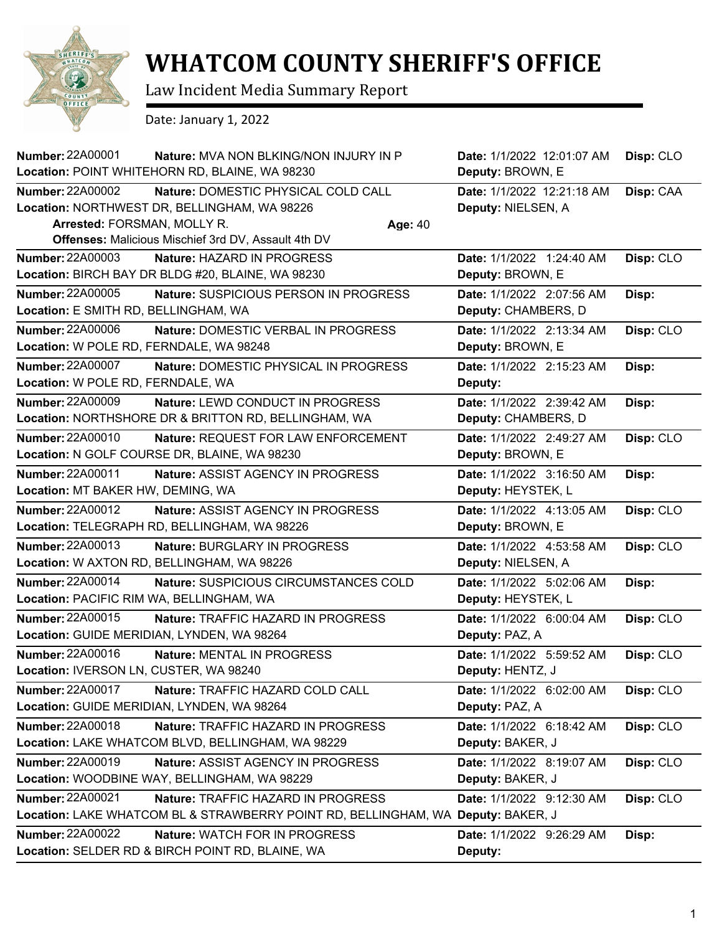

## **WHATCOM COUNTY SHERIFF'S OFFICE**

Law Incident Media Summary Report

Date: January 1, 2022

| <b>Number: 22A00001</b>                                            | <b>Nature: MVA NON BLKING/NON INJURY IN P</b><br>Location: POINT WHITEHORN RD, BLAINE, WA 98230                                                              | Date: 1/1/2022 12:01:07 AM<br>Deputy: BROWN, E   | Disp: CLO |
|--------------------------------------------------------------------|--------------------------------------------------------------------------------------------------------------------------------------------------------------|--------------------------------------------------|-----------|
| <b>Number: 22A00002</b><br>Arrested: FORSMAN, MOLLY R.             | Nature: DOMESTIC PHYSICAL COLD CALL<br>Location: NORTHWEST DR, BELLINGHAM, WA 98226<br>Age: 40<br><b>Offenses: Malicious Mischief 3rd DV, Assault 4th DV</b> | Date: 1/1/2022 12:21:18 AM<br>Deputy: NIELSEN, A | Disp: CAA |
| <b>Number: 22A00003</b>                                            | Nature: HAZARD IN PROGRESS<br>Location: BIRCH BAY DR BLDG #20, BLAINE, WA 98230                                                                              | Date: 1/1/2022 1:24:40 AM<br>Deputy: BROWN, E    | Disp: CLO |
| Number: 22A00005<br>Location: E SMITH RD, BELLINGHAM, WA           | Nature: SUSPICIOUS PERSON IN PROGRESS                                                                                                                        | Date: 1/1/2022 2:07:56 AM<br>Deputy: CHAMBERS, D | Disp:     |
| <b>Number: 22A00006</b><br>Location: W POLE RD, FERNDALE, WA 98248 | <b>Nature: DOMESTIC VERBAL IN PROGRESS</b>                                                                                                                   | Date: 1/1/2022 2:13:34 AM<br>Deputy: BROWN, E    | Disp: CLO |
| <b>Number: 22A00007</b><br>Location: W POLE RD, FERNDALE, WA       | Nature: DOMESTIC PHYSICAL IN PROGRESS                                                                                                                        | Date: 1/1/2022 2:15:23 AM<br>Deputy:             | Disp:     |
| <b>Number: 22A00009</b>                                            | <b>Nature: LEWD CONDUCT IN PROGRESS</b><br>Location: NORTHSHORE DR & BRITTON RD, BELLINGHAM, WA                                                              | Date: 1/1/2022 2:39:42 AM<br>Deputy: CHAMBERS, D | Disp:     |
| <b>Number: 22A00010</b>                                            | Nature: REQUEST FOR LAW ENFORCEMENT<br>Location: N GOLF COURSE DR, BLAINE, WA 98230                                                                          | Date: 1/1/2022 2:49:27 AM<br>Deputy: BROWN, E    | Disp: CLO |
| <b>Number: 22A00011</b><br>Location: MT BAKER HW, DEMING, WA       | Nature: ASSIST AGENCY IN PROGRESS                                                                                                                            | Date: 1/1/2022 3:16:50 AM<br>Deputy: HEYSTEK, L  | Disp:     |
| <b>Number: 22A00012</b>                                            | <b>Nature: ASSIST AGENCY IN PROGRESS</b><br>Location: TELEGRAPH RD, BELLINGHAM, WA 98226                                                                     | Date: 1/1/2022 4:13:05 AM<br>Deputy: BROWN, E    | Disp: CLO |
| <b>Number: 22A00013</b>                                            | Nature: BURGLARY IN PROGRESS<br>Location: W AXTON RD, BELLINGHAM, WA 98226                                                                                   | Date: 1/1/2022 4:53:58 AM<br>Deputy: NIELSEN, A  | Disp: CLO |
| Number: 22A00014<br>Location: PACIFIC RIM WA, BELLINGHAM, WA       | Nature: SUSPICIOUS CIRCUMSTANCES COLD                                                                                                                        | Date: 1/1/2022 5:02:06 AM<br>Deputy: HEYSTEK, L  | Disp:     |
| Number: 22A00015                                                   | Nature: TRAFFIC HAZARD IN PROGRESS<br>Location: GUIDE MERIDIAN, LYNDEN, WA 98264                                                                             | Date: 1/1/2022 6:00:04 AM<br>Deputy: PAZ, A      | Disp: CLO |
| <b>Number: 22A00016</b><br>Location: IVERSON LN, CUSTER, WA 98240  | Nature: MENTAL IN PROGRESS                                                                                                                                   | Date: 1/1/2022 5:59:52 AM<br>Deputy: HENTZ, J    | Disp: CLO |
| <b>Number: 22A00017</b>                                            | Nature: TRAFFIC HAZARD COLD CALL<br>Location: GUIDE MERIDIAN, LYNDEN, WA 98264                                                                               | Date: 1/1/2022 6:02:00 AM<br>Deputy: PAZ, A      | Disp: CLO |
| <b>Number: 22A00018</b>                                            | Nature: TRAFFIC HAZARD IN PROGRESS<br>Location: LAKE WHATCOM BLVD, BELLINGHAM, WA 98229                                                                      | Date: 1/1/2022 6:18:42 AM<br>Deputy: BAKER, J    | Disp: CLO |
| Number: 22A00019                                                   | <b>Nature: ASSIST AGENCY IN PROGRESS</b><br>Location: WOODBINE WAY, BELLINGHAM, WA 98229                                                                     | Date: 1/1/2022 8:19:07 AM<br>Deputy: BAKER, J    | Disp: CLO |
| <b>Number: 22A00021</b>                                            | Nature: TRAFFIC HAZARD IN PROGRESS<br>Location: LAKE WHATCOM BL & STRAWBERRY POINT RD, BELLINGHAM, WA Deputy: BAKER, J                                       | Date: 1/1/2022 9:12:30 AM                        | Disp: CLO |
| <b>Number: 22A00022</b>                                            | Nature: WATCH FOR IN PROGRESS<br>Location: SELDER RD & BIRCH POINT RD, BLAINE, WA                                                                            | Date: 1/1/2022 9:26:29 AM<br>Deputy:             | Disp:     |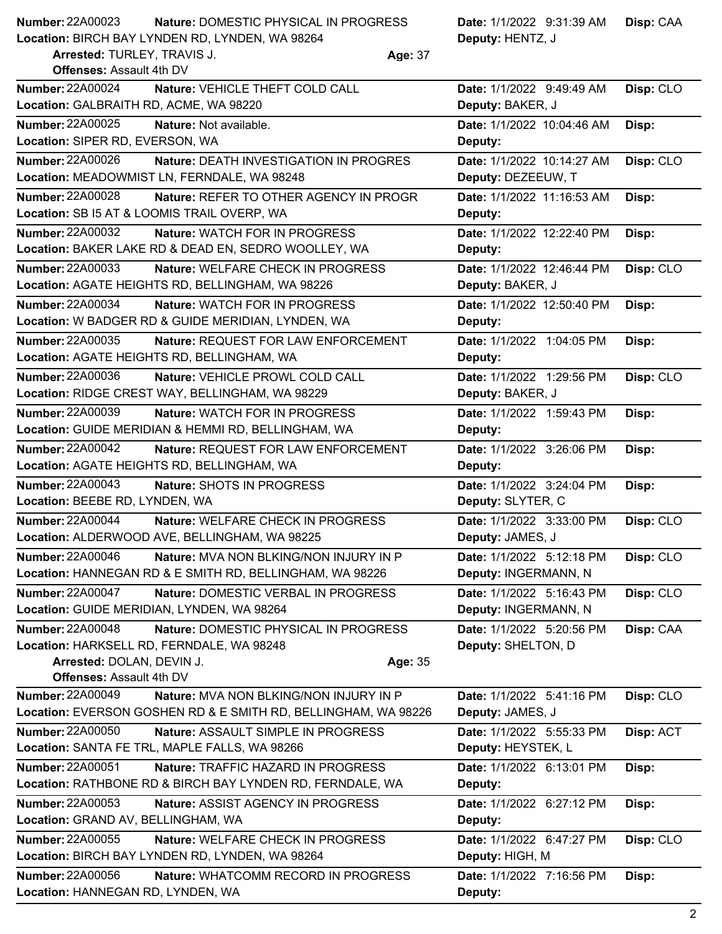| <b>Number: 22A00023</b>                                | Nature: DOMESTIC PHYSICAL IN PROGRESS | <b>Date:</b> 1/1/2022 9:31:39 AM |
|--------------------------------------------------------|---------------------------------------|----------------------------------|
| <b>Location: BIRCH BAY LYNDEN RD. LYNDEN. WA 98264</b> |                                       | Deputy: HENTZ, J                 |

**Arrested:** TURLEY, TRAVIS J. **Age:** 37

**Deputy:** HENTZ, J **Disp:** CAA

| <b>Offenses: Assault 4th DV</b>                                                                                        |                                      |           |  |  |
|------------------------------------------------------------------------------------------------------------------------|--------------------------------------|-----------|--|--|
| <b>Number: 22A00024</b><br>Nature: VEHICLE THEFT COLD CALL                                                             | Date: 1/1/2022 9:49:49 AM            | Disp: CLO |  |  |
| Location: GALBRAITH RD, ACME, WA 98220                                                                                 | Deputy: BAKER, J                     |           |  |  |
| <b>Number: 22A00025</b><br><b>Nature: Not available.</b>                                                               | Date: 1/1/2022 10:04:46 AM           | Disp:     |  |  |
| Location: SIPER RD, EVERSON, WA                                                                                        | Deputy:                              |           |  |  |
| Number: 22A00026<br>Nature: DEATH INVESTIGATION IN PROGRES                                                             | Date: 1/1/2022 10:14:27 AM           | Disp: CLO |  |  |
| Location: MEADOWMIST LN, FERNDALE, WA 98248                                                                            | Deputy: DEZEEUW, T                   |           |  |  |
| <b>Number: 22A00028</b><br>Nature: REFER TO OTHER AGENCY IN PROGR                                                      | Date: 1/1/2022 11:16:53 AM           | Disp:     |  |  |
| Location: SB I5 AT & LOOMIS TRAIL OVERP, WA                                                                            | Deputy:                              |           |  |  |
| <b>Number: 22A00032</b><br><b>Nature: WATCH FOR IN PROGRESS</b>                                                        | Date: 1/1/2022 12:22:40 PM           | Disp:     |  |  |
| Location: BAKER LAKE RD & DEAD EN, SEDRO WOOLLEY, WA                                                                   | Deputy:                              |           |  |  |
| Number: 22A00033<br>Nature: WELFARE CHECK IN PROGRESS                                                                  | Date: 1/1/2022 12:46:44 PM           | Disp: CLO |  |  |
| Location: AGATE HEIGHTS RD, BELLINGHAM, WA 98226                                                                       | Deputy: BAKER, J                     |           |  |  |
| Number: 22A00034<br><b>Nature: WATCH FOR IN PROGRESS</b>                                                               | Date: 1/1/2022 12:50:40 PM           | Disp:     |  |  |
| Location: W BADGER RD & GUIDE MERIDIAN, LYNDEN, WA                                                                     | Deputy:                              |           |  |  |
| <b>Number: 22A00035</b><br>Nature: REQUEST FOR LAW ENFORCEMENT                                                         | Date: 1/1/2022 1:04:05 PM            | Disp:     |  |  |
| Location: AGATE HEIGHTS RD, BELLINGHAM, WA                                                                             | Deputy:                              |           |  |  |
| <b>Number: 22A00036</b><br>Nature: VEHICLE PROWL COLD CALL                                                             | Date: 1/1/2022 1:29:56 PM            | Disp: CLO |  |  |
| Location: RIDGE CREST WAY, BELLINGHAM, WA 98229                                                                        | Deputy: BAKER, J                     |           |  |  |
| <b>Number: 22A00039</b><br><b>Nature: WATCH FOR IN PROGRESS</b><br>Location: GUIDE MERIDIAN & HEMMI RD, BELLINGHAM, WA | Date: 1/1/2022 1:59:43 PM            | Disp:     |  |  |
| <b>Number: 22A00042</b>                                                                                                | Deputy:                              |           |  |  |
| Nature: REQUEST FOR LAW ENFORCEMENT<br>Location: AGATE HEIGHTS RD, BELLINGHAM, WA                                      | Date: 1/1/2022 3:26:06 PM<br>Deputy: | Disp:     |  |  |
| Number: 22A00043<br>Nature: SHOTS IN PROGRESS                                                                          | Date: 1/1/2022 3:24:04 PM            |           |  |  |
| Location: BEEBE RD, LYNDEN, WA                                                                                         | Deputy: SLYTER, C                    | Disp:     |  |  |
| <b>Number: 22A00044</b><br>Nature: WELFARE CHECK IN PROGRESS                                                           | Date: 1/1/2022 3:33:00 PM            | Disp: CLO |  |  |
| Location: ALDERWOOD AVE, BELLINGHAM, WA 98225                                                                          | Deputy: JAMES, J                     |           |  |  |
| Number: 22A00046<br><b>Nature: MVA NON BLKING/NON INJURY IN P</b>                                                      | Date: 1/1/2022 5:12:18 PM            | Disp: CLO |  |  |
| Location: HANNEGAN RD & E SMITH RD, BELLINGHAM, WA 98226                                                               | Deputy: INGERMANN, N                 |           |  |  |
| <b>Number: 22A00047</b><br>Nature: DOMESTIC VERBAL IN PROGRESS                                                         | Date: 1/1/2022 5:16:43 PM            | Disp: CLO |  |  |
| Location: GUIDE MERIDIAN, LYNDEN, WA 98264                                                                             | Deputy: INGERMANN, N                 |           |  |  |
| <b>Number: 22A00048</b><br>Nature: DOMESTIC PHYSICAL IN PROGRESS                                                       | Date: 1/1/2022 5:20:56 PM            | Disp: CAA |  |  |
| Location: HARKSELL RD, FERNDALE, WA 98248                                                                              | Deputy: SHELTON, D                   |           |  |  |
| Arrested: DOLAN, DEVIN J.<br>Age: 35                                                                                   |                                      |           |  |  |
| <b>Offenses: Assault 4th DV</b>                                                                                        |                                      |           |  |  |
| Number: 22A00049<br><b>Nature: MVA NON BLKING/NON INJURY IN P</b>                                                      | Date: 1/1/2022 5:41:16 PM            | Disp: CLO |  |  |
| Location: EVERSON GOSHEN RD & E SMITH RD, BELLINGHAM, WA 98226                                                         | Deputy: JAMES, J                     |           |  |  |
| <b>Number: 22A00050</b><br>Nature: ASSAULT SIMPLE IN PROGRESS                                                          | Date: 1/1/2022 5:55:33 PM            | Disp: ACT |  |  |
| Location: SANTA FE TRL, MAPLE FALLS, WA 98266                                                                          | Deputy: HEYSTEK, L                   |           |  |  |
| <b>Number: 22A00051</b><br>Nature: TRAFFIC HAZARD IN PROGRESS                                                          | Date: 1/1/2022 6:13:01 PM            | Disp:     |  |  |
| Location: RATHBONE RD & BIRCH BAY LYNDEN RD, FERNDALE, WA                                                              | Deputy:                              |           |  |  |
| Number: 22A00053<br>Nature: ASSIST AGENCY IN PROGRESS                                                                  | Date: 1/1/2022 6:27:12 PM            | Disp:     |  |  |
| Location: GRAND AV, BELLINGHAM, WA                                                                                     | Deputy:                              |           |  |  |
| Number: 22A00055<br>Nature: WELFARE CHECK IN PROGRESS                                                                  | Date: 1/1/2022 6:47:27 PM            | Disp: CLO |  |  |
| Location: BIRCH BAY LYNDEN RD, LYNDEN, WA 98264                                                                        | Deputy: HIGH, M                      |           |  |  |
| Number: 22A00056<br>Nature: WHATCOMM RECORD IN PROGRESS                                                                | Date: 1/1/2022 7:16:56 PM            | Disp:     |  |  |
| Location: HANNEGAN RD, LYNDEN, WA                                                                                      | Deputy:                              |           |  |  |